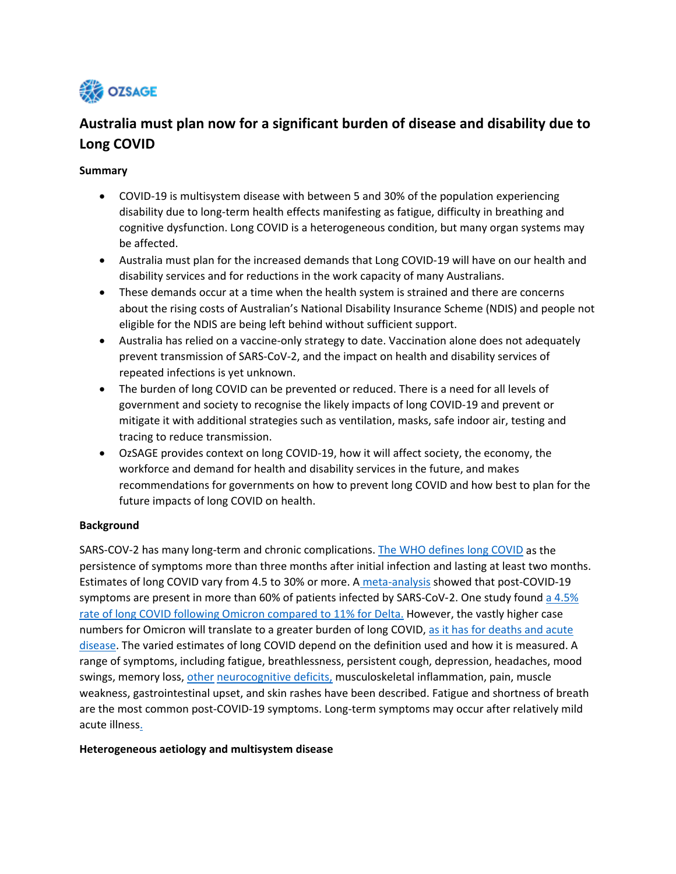

## **Australia must plan now for a significant burden of disease and disability due to Long COVID**

#### **Summary**

- COVID-19 is multisystem disease with between 5 and 30% of the population experiencing disability due to long-term health effects manifesting as fatigue, difficulty in breathing and cognitive dysfunction. Long COVID is a heterogeneous condition, but many organ systems may be affected.
- Australia must plan for the increased demands that Long COVID-19 will have on our health and disability services and for reductions in the work capacity of many Australians.
- These demands occur at a time when the health system is strained and there are concerns about the rising costs of Australian's National Disability Insurance Scheme (NDIS) and people not eligible for the NDIS are being left behind without sufficient support.
- Australia has relied on a vaccine-only strategy to date. Vaccination alone does not adequately prevent transmission of SARS-CoV-2, and the impact on health and disability services of repeated infections is yet unknown.
- The burden of long COVID can be prevented or reduced. There is a need for all levels of government and society to recognise the likely impacts of long COVID-19 and prevent or mitigate it with additional strategies such as ventilation, masks, safe indoor air, testing and tracing to reduce transmission.
- OzSAGE provides context on long COVID-19, how it will affect society, the economy, the workforce and demand for health and disability services in the future, and makes recommendations for governments on how to prevent long COVID and how best to plan for the future impacts of long COVID on health.

#### **Background**

SARS-COV-2 has many long-term and chronic complications. [The WHO defines long COVID](https://www.who.int/publications/i/item/WHO-2019-nCoV-Post_COVID-19_condition-Clinical_case_definition-2021.1) as the persistence of symptoms more than three months after initial infection and lasting at least two months. Estimates of long COVID vary from 4.5 to 30% or more. A [meta-analysis](https://www.ncbi.nlm.nih.gov/pmc/articles/PMC8206636/) showed that post-COVID-19 symptoms are present in more than 60% of patients infected by SARS-CoV-2. One study found a  $4.5\%$ [rate of long COVID following Omicron compared to](https://www.thelancet.com/journals/lancet/article/PIIS0140-6736(22)00941-2/fulltext#.YqxbuNbCLqg.twitter) 11% for Delta. However, the vastly higher case numbers for Omicron will translate to a greater burden of long COVID, as it has for deaths and acute [disease.](https://ozsage.org/media_releases/covid-19-has-become-a-leading-cause-of-death-in-australia-urgent-call-for-action/) The varied estimates of long COVID depend on the definition used and how it is measured. A range of symptoms, including fatigue, breathlessness, persistent cough, depression, headaches, mood swings, memory loss, other neurocognitive deficits, musculoskeletal inflammation, pain, muscle weakness, gastrointestinal upset, and skin rashes have been described. Fatigue and shortness of breath are the most common post-COVID-19 symptoms. Long-term symptoms may occur after relatively mild acute illness.

#### **Heterogeneous aetiology and multisystem disease**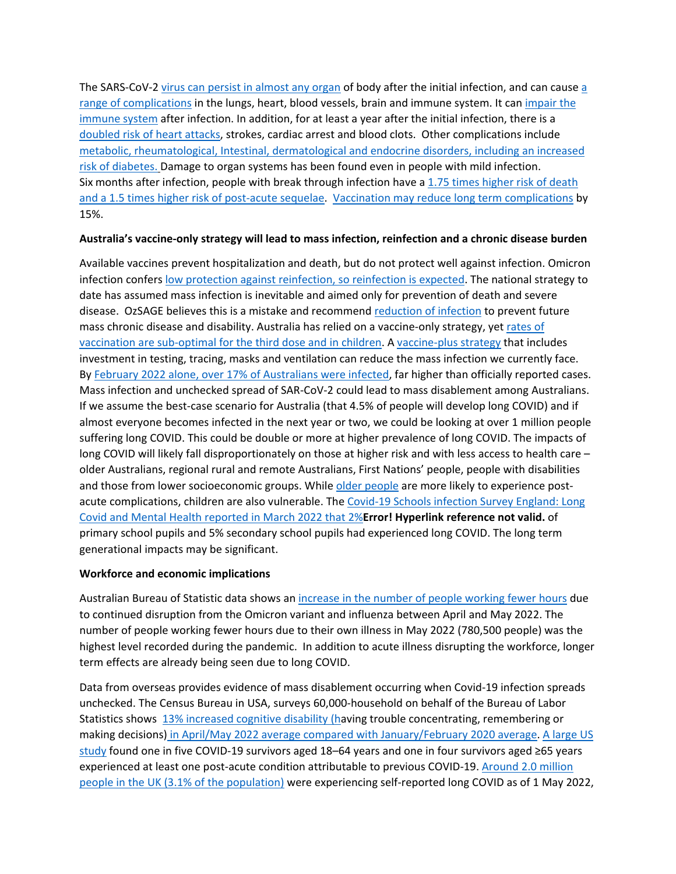The SARS-CoV-2 [virus can persist in almost any organ](https://assets.researchsquare.com/files/rs-1139035/v1_covered.pdf?c=1640020576) of body after the initial infection, and can cause [a](https://www.science.org/content/article/what-causes-long-covid-three-leading-theories)  [range of complications](https://www.science.org/content/article/what-causes-long-covid-three-leading-theories) in the lungs, heart, blood vessels, brain and immune system. It can impair the [immune system](https://www.nature.com/articles/s41392-021-00749-3#citeas) after infection. In addition, for at least a year after the initial infection, there is a [doubled risk of heart attacks,](https://www.nature.com/articles/s41591-022-01689-3) strokes, cardiac arrest and blood clots. Other complications include [metabolic, rheumatological, Intestinal, dermatological and endocrine disorders, including an increased](https://www.nature.com/articles/s41591-022-01840-0)  [risk of diabetes.](https://www.nature.com/articles/s41591-022-01840-0) Damage to organ systems has been found even in people with mild infection. Six months after infection, people with break through infection have a 1.75 times higher risk of death [and a 1.5 times higher risk of post-acute sequelae. Vaccination may reduce long term complications](https://www.nature.com/articles/s41591-022-01840-0) by 15%.

#### **Australia's vaccine-only strategy will lead to mass infection, reinfection and a chronic disease burden**

Available vaccines prevent hospitalization and death, but do not protect well against infection. Omicron infection confer[s low protection against reinfection,](https://www.science.org/doi/10.1126/science.abq1841) so reinfection is expected. The national strategy to date has assumed mass infection is inevitable and aimed only for prevention of death and severe disease. OzSAGE believes this is a mistake and recommend [reduction of infection](https://ozsage.org/live-more-safely-with-covid/) to prevent future mass chronic disease and disability. Australia has relied on a vaccine-only strategy, yet [rates of](https://www.health.gov.au/initiatives-and-programs/covid-19-vaccines/numbers-statistics)  [vaccination are sub-optimal for the third dose and in children.](https://www.health.gov.au/initiatives-and-programs/covid-19-vaccines/numbers-statistics) A [vaccine-plus strategy](https://ozsage.org/ventilation-and-vaccine-plus/) that includes investment in testing, tracing, masks and ventilation can reduce the mass infection we currently face. By [February 2022 alone, over 17% of Australians were infected,](https://kirby.unsw.edu.au/news/national-antibody-study-confirms-covid-19-cases-higher-reported) far higher than officially reported cases. Mass infection and unchecked spread of SAR-CoV-2 could lead to mass disablement among Australians. If we assume the best-case scenario for Australia (that 4.5% of people will develop long COVID) and if almost everyone becomes infected in the next year or two, we could be looking at over 1 million people suffering long COVID. This could be double or more at higher prevalence of long COVID. The impacts of long COVID will likely fall disproportionately on those at higher risk and with less access to health care – older Australians, regional rural and remote Australians, First Nations' people, people with disabilities and those from lower socioeconomic groups. Whil[e older people](https://www.cdc.gov/mmwr/volumes/71/wr/mm7121e1.htm#T1_down) are more likely to experience postacute complications, children are also vulnerable. Th[e Covid-19 Schools infection Survey England: Long](https://www.ons.gov.uk/peoplepopulationandcommunity/healthandsocialcare/conditionsanddiseases/bulletins/covid19schoolsinfectionsurveyengland/march2022/pdf)  [Covid and Mental Health reported in March 2022 that 2%](https://www.ons.gov.uk/peoplepopulationandcommunity/healthandsocialcare/conditionsanddiseases/bulletins/covid19schoolsinfectionsurveyengland/march2022/pdf)**Error! Hyperlink reference not valid.** of primary school pupils and 5% secondary school pupils had experienced long COVID. The long term generational impacts may be significant.

#### **Workforce and economic implications**

Australian Bureau of Statistic data shows an [increase in the number of people working fewer hours](http://www.abs.gov.au/articles/insights-hours-worked-may-2022) due to continued disruption from the Omicron variant and influenza between April and May 2022. The number of people working fewer hours due to their own illness in May 2022 (780,500 people) was the highest level recorded during the pandemic. In addition to acute illness disrupting the workforce, longer term effects are already being seen due to long COVID.

Data from overseas provides evidence of mass disablement occurring when Covid-19 infection spreads unchecked. The Census Bureau in USA, surveys 60,000-household on behalf of the Bureau of Labor Statistics shows [13% increased cognitive disability \(having trouble concentrating, remembering or](https://www.bloomberg.com/opinion/articles/2022-06-15/long-covid-is-showing-up-in-the-employment-data)  making decisions) [in April/May 2022 average compared with January/February 2020 average](https://www.bloomberg.com/opinion/articles/2022-06-15/long-covid-is-showing-up-in-the-employment-data). [A large US](https://www.cdc.gov/mmwr/volumes/71/wr/mm7121e1.htm#T1_down)  [study](https://www.cdc.gov/mmwr/volumes/71/wr/mm7121e1.htm#T1_down) found one in five COVID-19 survivors aged 18–64 years and one in four survivors aged ≥65 years experienced at least one post-acute condition attributable to previous COVID-19[. Around 2.0 million](https://www.ons.gov.uk/peoplepopulationandcommunity/healthandsocialcare/conditionsanddiseases/bulletins/prevalenceofongoingsymptomsfollowingcoronaviruscovid19infectionintheuk/1june2022)  [people in the UK \(3.1% of the population\)](https://www.ons.gov.uk/peoplepopulationandcommunity/healthandsocialcare/conditionsanddiseases/bulletins/prevalenceofongoingsymptomsfollowingcoronaviruscovid19infectionintheuk/1june2022) were experiencing self-reported long COVID as of 1 May 2022,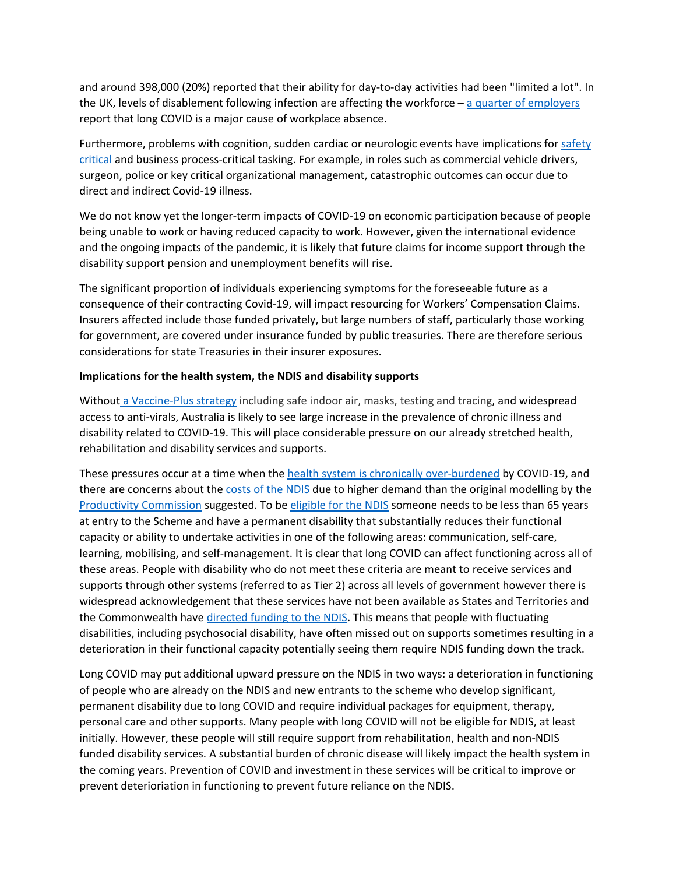and around 398,000 (20%) reported that their ability for day-to-day activities had been "limited a lot". In the UK, levels of disablement following infection are affecting the workforce  $-$  [a quarter of employers](https://www.ft.com/content/33444f29-bab1-4655-85b5-c0b1f68d9653) report that long COVID is a major cause of workplace absence.

Furthermore, problems with cognition, sudden cardiac or neurologic events have implications fo[r safety](https://osha.europa.eu/sites/default/files/2022-05/Longterm_health_effects_COVID-19_Discusion_paper.pdf)  [critical](https://osha.europa.eu/sites/default/files/2022-05/Longterm_health_effects_COVID-19_Discusion_paper.pdf) and business process-critical tasking. For example, in roles such as commercial vehicle drivers, surgeon, police or key critical organizational management, catastrophic outcomes can occur due to direct and indirect Covid-19 illness.

We do not know yet the longer-term impacts of COVID-19 on economic participation because of people being unable to work or having reduced capacity to work. However, given the international evidence and the ongoing impacts of the pandemic, it is likely that future claims for income support through the disability support pension and unemployment benefits will rise.

The significant proportion of individuals experiencing symptoms for the foreseeable future as a consequence of their contracting Covid-19, will impact resourcing for Workers' Compensation Claims. Insurers affected include those funded privately, but large numbers of staff, particularly those working for government, are covered under insurance funded by public treasuries. There are therefore serious considerations for state Treasuries in their insurer exposures.

#### **Implications for the health system, the NDIS and disability supports**

Withou[t a Vaccine-Plus strategy](https://ozsage.org/ventilation-and-vaccine-plus/) including safe indoor air, masks, testing and tracing, and widespread access to anti-virals, Australia is likely to see large increase in the prevalence of chronic illness and disability related to COVID-19. This will place considerable pressure on our already stretched health, rehabilitation and disability services and supports.

These pressures occur at a time when th[e health system is chronically over-burdened](https://7news.com.au/news/public-health/nsw-hospitals-struggled-amid-omicron-surge-c-7165661) by COVID-19, and there are concerns about the [costs of the NDIS](chrome-extension://efaidnbmnnnibpcajpcglclefindmkaj/https:/www.dss.gov.au/sites/default/files/documents/01_2022/review-ndia-actuarial-forecast-model-and-drivers-scheme-costs.pdf) due to higher demand than the original modelling by the [Productivity Commission](https://www.pc.gov.au/inquiries/completed/disability-support/report) suggested. To be [eligible for the NDIS](https://ourguidelines.ndis.gov.au/home/becoming-participant/applying-ndis/do-you-meet-disability-requirements/does-your-impairment-substantially-reduce-your-functional-capacity) someone needs to be less than 65 years at entry to the Scheme and have a permanent disability that substantially reduces their functional capacity or ability to undertake activities in one of the following areas: communication, self-care, learning, mobilising, and self-management. It is clear that long COVID can affect functioning across all of these areas. People with disability who do not meet these criteria are meant to receive services and supports through other systems (referred to as Tier 2) across all levels of government however there is widespread acknowledgement that these services have not been available as States and Territories and the Commonwealth have [directed funding to the NDIS.](https://www.abc.net.au/news/2022-05-18/australians-not-on-ndis-forgotten/101072632) This means that people with fluctuating disabilities, including psychosocial disability, have often missed out on supports sometimes resulting in a deterioration in their functional capacity potentially seeing them require NDIS funding down the track.

Long COVID may put additional upward pressure on the NDIS in two ways: a deterioration in functioning of people who are already on the NDIS and new entrants to the scheme who develop significant, permanent disability due to long COVID and require individual packages for equipment, therapy, personal care and other supports. Many people with long COVID will not be eligible for NDIS, at least initially. However, these people will still require support from rehabilitation, health and non-NDIS funded disability services. A substantial burden of chronic disease will likely impact the health system in the coming years. Prevention of COVID and investment in these services will be critical to improve or prevent deterioriation in functioning to prevent future reliance on the NDIS.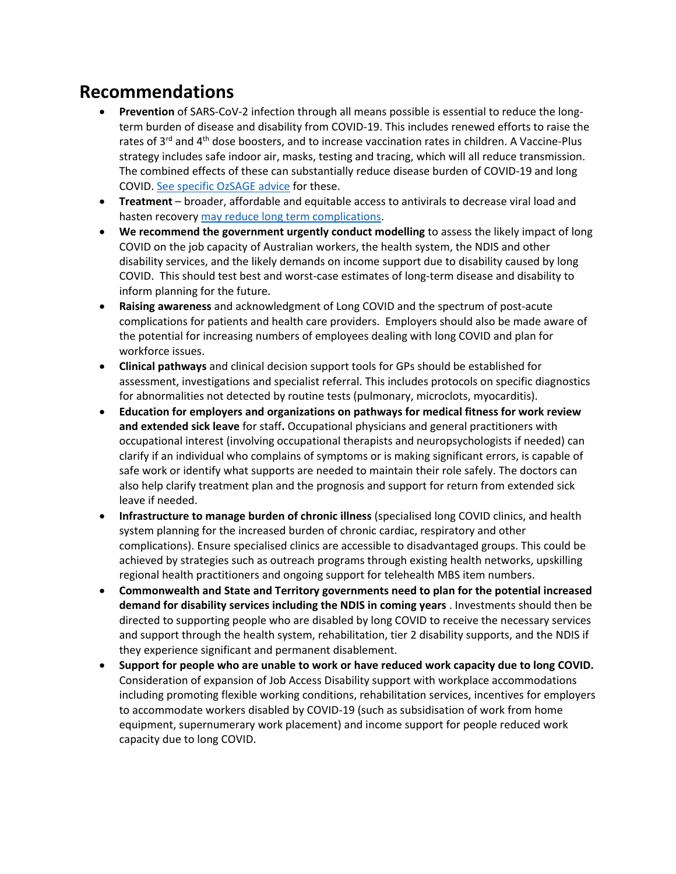# **Recommendations**

- **Prevention** of SARS-CoV-2 infection through all means possible is essential to reduce the longterm burden of disease and disability from COVID-19. This includes renewed efforts to raise the rates of 3<sup>rd</sup> and 4<sup>th</sup> dose boosters, and to increase vaccination rates in children. A Vaccine-Plus strategy includes safe indoor air, masks, testing and tracing, which will all reduce transmission. The combined effects of these can substantially reduce disease burden of COVID-19 and long COVID. [See specific OzSAGE advice](https://ozsage.org/media_releases/) for these.
- **Treatment** broader, affordable and equitable access to antivirals to decrease viral load and hasten recovery [may reduce long term complications.](https://www.abc.net.au/news/2022-06-04/sa-long-covid-treatments/101123620)
- **We recommend the government urgently conduct modelling** to assess the likely impact of long COVID on the job capacity of Australian workers, the health system, the NDIS and other disability services, and the likely demands on income support due to disability caused by long COVID. This should test best and worst-case estimates of long-term disease and disability to inform planning for the future.
- **Raising awareness** and acknowledgment of Long COVID and the spectrum of post-acute complications for patients and health care providers. Employers should also be made aware of the potential for increasing numbers of employees dealing with long COVID and plan for workforce issues.
- **Clinical pathways** and clinical decision support tools for GPs should be established for assessment, investigations and specialist referral. This includes protocols on specific diagnostics for abnormalities not detected by routine tests (pulmonary, microclots, myocarditis).
- **Education for employers and organizations on pathways for medical fitness for work review and extended sick leave** for staff**.** Occupational physicians and general practitioners with occupational interest (involving occupational therapists and neuropsychologists if needed) can clarify if an individual who complains of symptoms or is making significant errors, is capable of safe work or identify what supports are needed to maintain their role safely. The doctors can also help clarify treatment plan and the prognosis and support for return from extended sick leave if needed.
- **Infrastructure to manage burden of chronic illness** (specialised long COVID clinics, and health system planning for the increased burden of chronic cardiac, respiratory and other complications). Ensure specialised clinics are accessible to disadvantaged groups. This could be achieved by strategies such as outreach programs through existing health networks, upskilling regional health practitioners and ongoing support for telehealth MBS item numbers.
- **Commonwealth and State and Territory governments need to plan for the potential increased demand for disability services including the NDIS in coming years** . Investments should then be directed to supporting people who are disabled by long COVID to receive the necessary services and support through the health system, rehabilitation, tier 2 disability supports, and the NDIS if they experience significant and permanent disablement.
- **Support for people who are unable to work or have reduced work capacity due to long COVID.**  Consideration of expansion of Job Access Disability support with workplace accommodations including promoting flexible working conditions, rehabilitation services, incentives for employers to accommodate workers disabled by COVID-19 (such as subsidisation of work from home equipment, supernumerary work placement) and income support for people reduced work capacity due to long COVID.